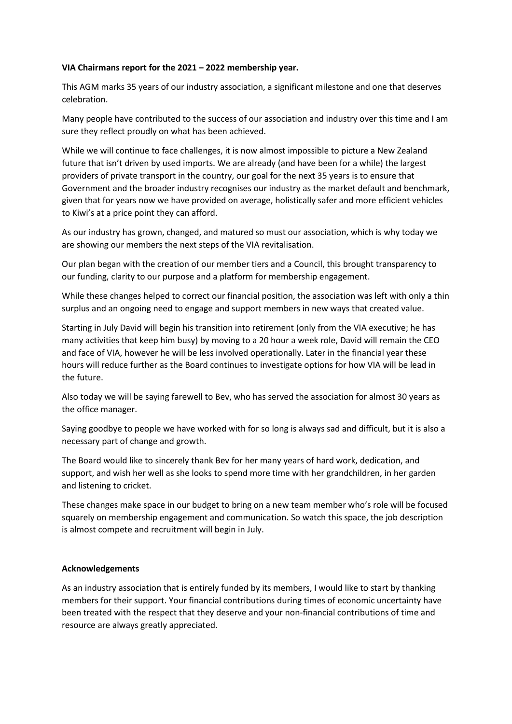## **VIA Chairmans report for the 2021 – 2022 membership year.**

This AGM marks 35 years of our industry association, a significant milestone and one that deserves celebration.

Many people have contributed to the success of our association and industry over this time and I am sure they reflect proudly on what has been achieved.

While we will continue to face challenges, it is now almost impossible to picture a New Zealand future that isn't driven by used imports. We are already (and have been for a while) the largest providers of private transport in the country, our goal for the next 35 years is to ensure that Government and the broader industry recognises our industry as the market default and benchmark, given that for years now we have provided on average, holistically safer and more efficient vehicles to Kiwi's at a price point they can afford.

As our industry has grown, changed, and matured so must our association, which is why today we are showing our members the next steps of the VIA revitalisation.

Our plan began with the creation of our member tiers and a Council, this brought transparency to our funding, clarity to our purpose and a platform for membership engagement.

While these changes helped to correct our financial position, the association was left with only a thin surplus and an ongoing need to engage and support members in new ways that created value.

Starting in July David will begin his transition into retirement (only from the VIA executive; he has many activities that keep him busy) by moving to a 20 hour a week role, David will remain the CEO and face of VIA, however he will be less involved operationally. Later in the financial year these hours will reduce further as the Board continues to investigate options for how VIA will be lead in the future.

Also today we will be saying farewell to Bev, who has served the association for almost 30 years as the office manager.

Saying goodbye to people we have worked with for so long is always sad and difficult, but it is also a necessary part of change and growth.

The Board would like to sincerely thank Bev for her many years of hard work, dedication, and support, and wish her well as she looks to spend more time with her grandchildren, in her garden and listening to cricket.

These changes make space in our budget to bring on a new team member who's role will be focused squarely on membership engagement and communication. So watch this space, the job description is almost compete and recruitment will begin in July.

## **Acknowledgements**

As an industry association that is entirely funded by its members, I would like to start by thanking members for their support. Your financial contributions during times of economic uncertainty have been treated with the respect that they deserve and your non-financial contributions of time and resource are always greatly appreciated.